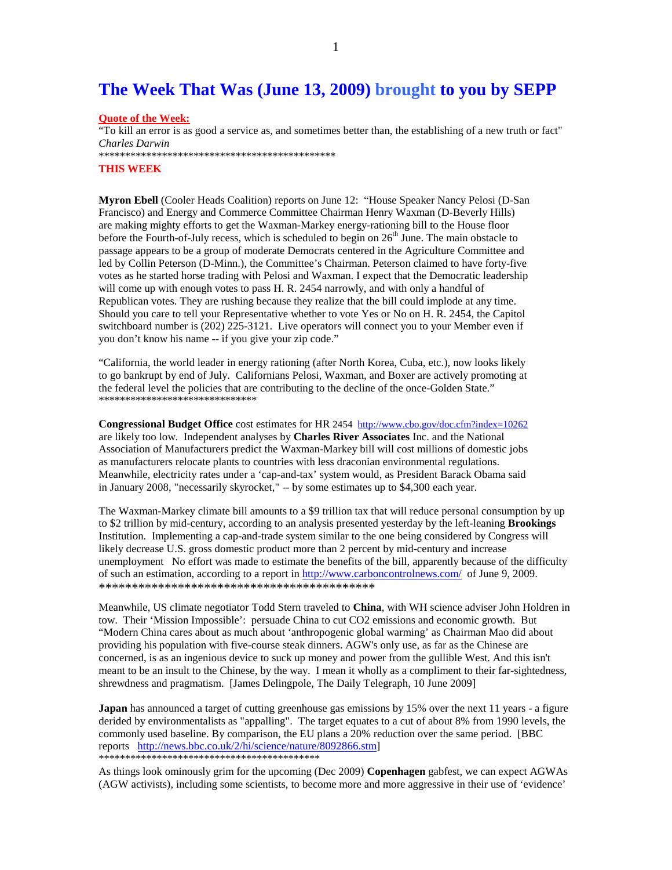# **The Week That Was (June 13, 2009) brought to you by SEPP**

### **Quote of the Week:**

"To kill an error is as good a service as, and sometimes better than, the establishing of a new truth or fact" *Charles Darwin* 

\*\*\*\*\*\*\*\*\*\*\*\*\*\*\*\*\*\*\*\*\*\*\*\*\*\*\*\*\*\*\*\*\*\*\*\*\*\*\*\*\*\*\*\*\*

# **THIS WEEK**

**Myron Ebell** (Cooler Heads Coalition) reports on June 12: "House Speaker Nancy Pelosi (D-San Francisco) and Energy and Commerce Committee Chairman Henry Waxman (D-Beverly Hills) are making mighty efforts to get the Waxman-Markey energy-rationing bill to the House floor before the Fourth-of-July recess, which is scheduled to begin on  $26<sup>th</sup>$  June. The main obstacle to passage appears to be a group of moderate Democrats centered in the Agriculture Committee and led by Collin Peterson (D-Minn.), the Committee's Chairman. Peterson claimed to have forty-five votes as he started horse trading with Pelosi and Waxman. I expect that the Democratic leadership will come up with enough votes to pass H. R. 2454 narrowly, and with only a handful of Republican votes. They are rushing because they realize that the bill could implode at any time. Should you care to tell your Representative whether to vote Yes or No on H. R. 2454, the Capitol switchboard number is (202) 225-3121. Live operators will connect you to your Member even if you don't know his name -- if you give your zip code."

"California, the world leader in energy rationing (after North Korea, Cuba, etc.), now looks likely to go bankrupt by end of July. Californians Pelosi, Waxman, and Boxer are actively promoting at the federal level the policies that are contributing to the decline of the once-Golden State." \*\*\*\*\*\*\*\*\*\*\*\*\*\*\*\*\*\*\*\*\*\*\*\*\*\*\*\*\*\*

**Congressional Budget Office** cost estimates for HR 2454 http://www.cbo.gov/doc.cfm?index=10262 are likely too low. Independent analyses by **Charles River Associates** Inc. and the National Association of Manufacturers predict the Waxman-Markey bill will cost millions of domestic jobs as manufacturers relocate plants to countries with less draconian environmental regulations. Meanwhile, electricity rates under a 'cap-and-tax' system would, as President Barack Obama said in January 2008, "necessarily skyrocket," -- by some estimates up to \$4,300 each year.

The Waxman-Markey climate bill amounts to a \$9 trillion tax that will reduce personal consumption by up to \$2 trillion by mid-century, according to an analysis presented yesterday by the left-leaning **Brookings** Institution. Implementing a cap-and-trade system similar to the one being considered by Congress will likely decrease U.S. gross domestic product more than 2 percent by mid-century and increase unemployment No effort was made to estimate the benefits of the bill, apparently because of the difficulty of such an estimation, according to a report in http://www.carboncontrolnews.com/ of June 9, 2009. \*\*\*\*\*\*\*\*\*\*\*\*\*\*\*\*\*\*\*\*\*\*\*\*\*\*\*\*\*\*\*\*\*\*\*\*\*\*\*\*\*\*

Meanwhile, US climate negotiator Todd Stern traveled to **China**, with WH science adviser John Holdren in tow. Their 'Mission Impossible': persuade China to cut CO2 emissions and economic growth. But "Modern China cares about as much about 'anthropogenic global warming' as Chairman Mao did about providing his population with five-course steak dinners. AGW's only use, as far as the Chinese are concerned, is as an ingenious device to suck up money and power from the gullible West. And this isn't meant to be an insult to the Chinese, by the way. I mean it wholly as a compliment to their far-sightedness, shrewdness and pragmatism. [James Delingpole, The Daily Telegraph, 10 June 2009]

**Japan** has announced a target of cutting greenhouse gas emissions by 15% over the next 11 years - a figure derided by environmentalists as "appalling".The target equates to a cut of about 8% from 1990 levels, the commonly used baseline. By comparison, the EU plans a 20% reduction over the same period. [BBC reports http://news.bbc.co.uk/2/hi/science/nature/8092866.stm] \*\*\*\*\*\*\*\*\*\*\*\*\*\*\*\*\*\*\*\*\*\*\*\*\*\*\*\*\*\*\*\*\*\*\*\*\*\*\*\*\*\*

As things look ominously grim for the upcoming (Dec 2009) **Copenhagen** gabfest, we can expect AGWAs (AGW activists), including some scientists, to become more and more aggressive in their use of 'evidence'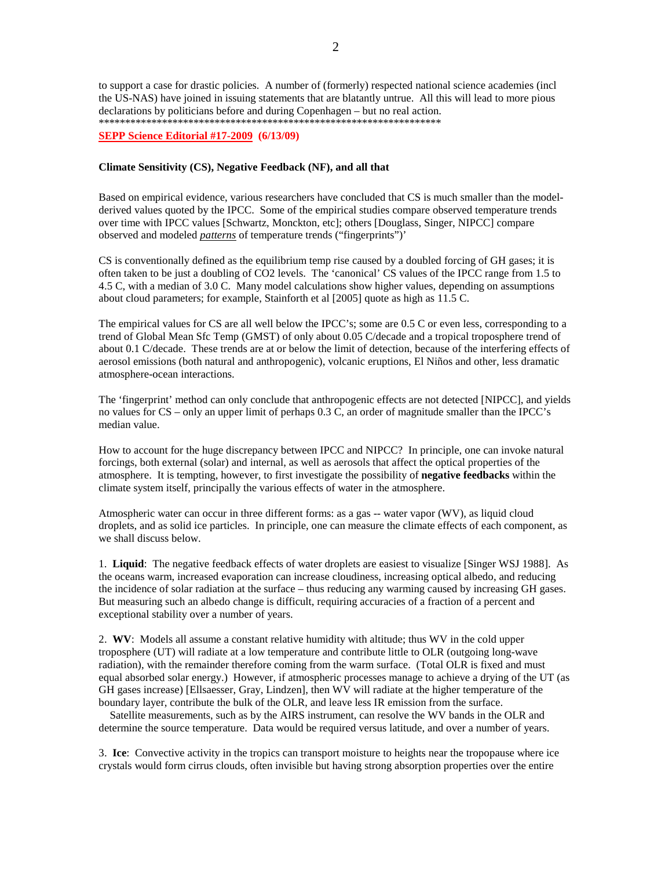to support a case for drastic policies. A number of (formerly) respected national science academies (incl the US-NAS) have joined in issuing statements that are blatantly untrue. All this will lead to more pious declarations by politicians before and during Copenhagen – but no real action. \*\*\*\*\*\*\*\*\*\*\*\*\*\*\*\*\*\*\*\*\*\*\*\*\*\*\*\*\*\*\*\*\*\*\*\*\*\*\*\*\*\*\*\*\*\*\*\*\*\*\*\*\*\*\*\*\*\*\*\*\*\*\*\*\*

**SEPP Science Editorial #17-2009 (6/13/09)** 

### **Climate Sensitivity (CS), Negative Feedback (NF), and all that**

Based on empirical evidence, various researchers have concluded that CS is much smaller than the modelderived values quoted by the IPCC. Some of the empirical studies compare observed temperature trends over time with IPCC values [Schwartz, Monckton, etc]; others [Douglass, Singer, NIPCC] compare observed and modeled *patterns* of temperature trends ("fingerprints")'

CS is conventionally defined as the equilibrium temp rise caused by a doubled forcing of GH gases; it is often taken to be just a doubling of CO2 levels. The 'canonical' CS values of the IPCC range from 1.5 to 4.5 C, with a median of 3.0 C. Many model calculations show higher values, depending on assumptions about cloud parameters; for example, Stainforth et al [2005] quote as high as 11.5 C.

The empirical values for CS are all well below the IPCC's; some are 0.5 C or even less, corresponding to a trend of Global Mean Sfc Temp (GMST) of only about 0.05 C/decade and a tropical troposphere trend of about 0.1 C/decade. These trends are at or below the limit of detection, because of the interfering effects of aerosol emissions (both natural and anthropogenic), volcanic eruptions, El Niños and other, less dramatic atmosphere-ocean interactions.

The 'fingerprint' method can only conclude that anthropogenic effects are not detected [NIPCC], and yields no values for CS – only an upper limit of perhaps 0.3 C, an order of magnitude smaller than the IPCC's median value.

How to account for the huge discrepancy between IPCC and NIPCC? In principle, one can invoke natural forcings, both external (solar) and internal, as well as aerosols that affect the optical properties of the atmosphere. It is tempting, however, to first investigate the possibility of **negative feedbacks** within the climate system itself, principally the various effects of water in the atmosphere.

Atmospheric water can occur in three different forms: as a gas -- water vapor (WV), as liquid cloud droplets, and as solid ice particles. In principle, one can measure the climate effects of each component, as we shall discuss below.

1. **Liquid**: The negative feedback effects of water droplets are easiest to visualize [Singer WSJ 1988]. As the oceans warm, increased evaporation can increase cloudiness, increasing optical albedo, and reducing the incidence of solar radiation at the surface – thus reducing any warming caused by increasing GH gases. But measuring such an albedo change is difficult, requiring accuracies of a fraction of a percent and exceptional stability over a number of years.

2. **WV**: Models all assume a constant relative humidity with altitude; thus WV in the cold upper troposphere (UT) will radiate at a low temperature and contribute little to OLR (outgoing long-wave radiation), with the remainder therefore coming from the warm surface. (Total OLR is fixed and must equal absorbed solar energy.) However, if atmospheric processes manage to achieve a drying of the UT (as GH gases increase) [Ellsaesser, Gray, Lindzen], then WV will radiate at the higher temperature of the boundary layer, contribute the bulk of the OLR, and leave less IR emission from the surface.

 Satellite measurements, such as by the AIRS instrument, can resolve the WV bands in the OLR and determine the source temperature. Data would be required versus latitude, and over a number of years.

3. **Ice**: Convective activity in the tropics can transport moisture to heights near the tropopause where ice crystals would form cirrus clouds, often invisible but having strong absorption properties over the entire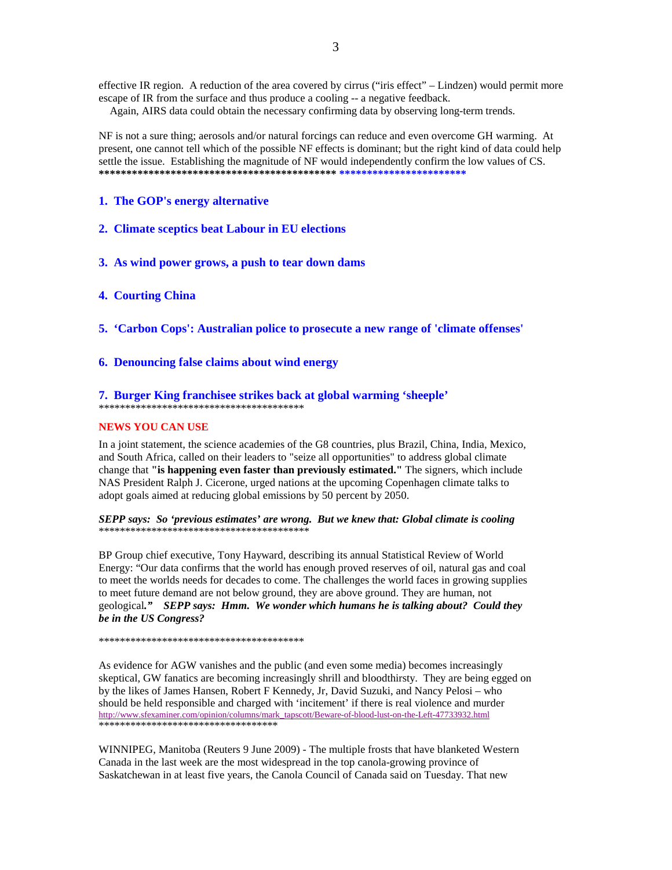effective IR region. A reduction of the area covered by cirrus ("iris effect" – Lindzen) would permit more escape of IR from the surface and thus produce a cooling -- a negative feedback.

Again, AIRS data could obtain the necessary confirming data by observing long-term trends.

NF is not a sure thing; aerosols and/or natural forcings can reduce and even overcome GH warming. At present, one cannot tell which of the possible NF effects is dominant; but the right kind of data could help settle the issue. Establishing the magnitude of NF would independently confirm the low values of CS. 

### 1. The GOP's energy alternative

- 2. Climate sceptics beat Labour in EU elections
- 3. As wind power grows, a push to tear down dams

### **4. Courting China**

5. 'Carbon Cops': Australian police to prosecute a new range of 'climate offenses'

### **6. Denouncing false claims about wind energy**

#### 7. Burger King franchisee strikes back at global warming 'sheeple'

### **NEWS YOU CAN USE**

In a joint statement, the science academies of the G8 countries, plus Brazil, China, India, Mexico, and South Africa, called on their leaders to "seize all opportunities" to address global climate change that "is happening even faster than previously estimated." The signers, which include NAS President Ralph J. Cicerone, urged nations at the upcoming Copenhagen climate talks to adopt goals aimed at reducing global emissions by 50 percent by 2050.

SEPP says: So 'previous estimates' are wrong. But we knew that: Global climate is cooling 

BP Group chief executive, Tony Hayward, describing its annual Statistical Review of World Energy: "Our data confirms that the world has enough proved reserves of oil, natural gas and coal to meet the worlds needs for decades to come. The challenges the world faces in growing supplies to meet future demand are not below ground, they are above ground. They are human, not geological." SEPP says: Hmm. We wonder which humans he is talking about? Could they be in the US Congress?

As evidence for AGW vanishes and the public (and even some media) becomes increasingly skeptical, GW fanatics are becoming increasingly shrill and bloodthirsty. They are being egged on by the likes of James Hansen, Robert F Kennedy, Jr, David Suzuki, and Nancy Pelosi – who should be held responsible and charged with 'incitement' if there is real violence and murder http://www.sfexaminer.com/opinion/columns/mark\_tapscott/Beware-of-blood-lust-on-the-Left-47733932.html \*\*\*\*\*\*\*\*\*\*\*\*\*\*\*\*\*\*\*\*\*\*\*\*\*\*\*\*\*\*\*\*\*\*

WINNIPEG, Manitoba (Reuters 9 June 2009) - The multiple frosts that have blanketed Western Canada in the last week are the most widespread in the top canola-growing province of Saskatchewan in at least five years, the Canola Council of Canada said on Tuesday. That new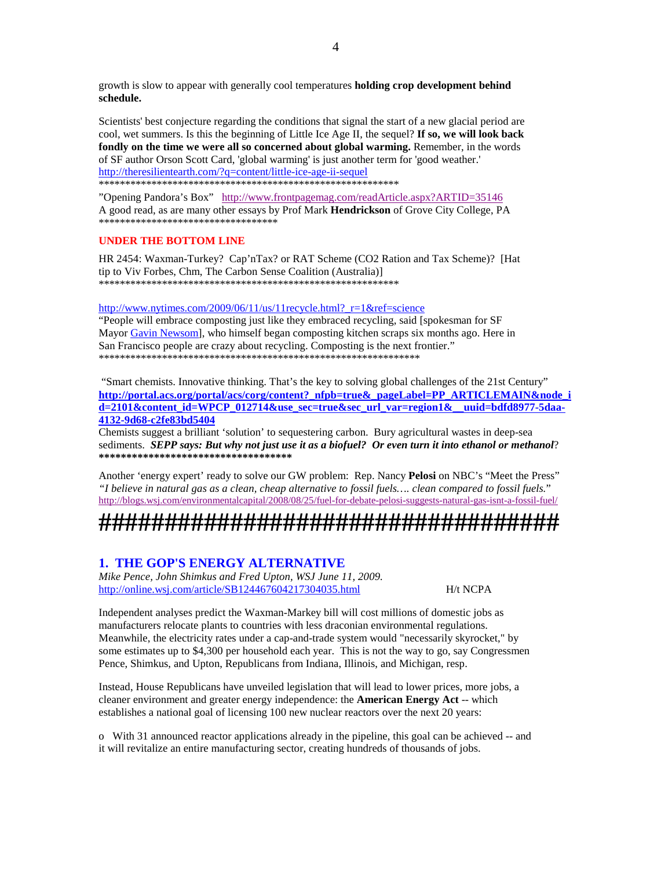growth is slow to appear with generally cool temperatures holding crop development behind schedule.

Scientists' best conjecture regarding the conditions that signal the start of a new glacial period are cool, wet summers. Is this the beginning of Little Ice Age II, the sequel? If so, we will look back fondly on the time we were all so concerned about global warming. Remember, in the words of SF author Orson Scott Card, 'global warming' is just another term for 'good weather.' http://theresilientearth.com/?q=content/little-ice-age-ii-sequel

"Opening Pandora's Box" http://www.frontpagemag.com/readArticle.aspx?ARTID=35146 A good read, as are many other essays by Prof Mark **Hendrickson** of Grove City College, PA \*\*\*\*\*\*\*\*\*\*\*\*\*\*\*\*\*\*\*\*\*\*\*\*\*\*\*\*\*\*\*\*\*\*

### **UNDER THE BOTTOM LINE**

HR 2454: Waxman-Turkey? Cap'nTax? or RAT Scheme (CO2 Ration and Tax Scheme)? [Hat tip to Viv Forbes, Chm, The Carbon Sense Coalition (Australia)] 

http://www.nytimes.com/2009/06/11/us/11recycle.html?  $r=1$ &ref=science

"People will embrace composting just like they embraced recycling, said [spokesman for SF Mayor Gavin Newsom, who himself began composting kitchen scraps six months ago. Here in San Francisco people are crazy about recycling. Composting is the next frontier." 

"Smart chemists. Innovative thinking. That's the key to solving global challenges of the 21st Century" http://portal.acs.org/portal/acs/corg/content?\_nfpb=true&\_pageLabel=PP\_ARTICLEMAIN&node\_i d=2101&content id=WPCP 012714&use sec=true&sec url var=region1& uuid=bdfd8977-5daa-4132-9d68-c2fe83bd5404

Chemists suggest a brilliant 'solution' to sequestering carbon. Bury agricultural wastes in deep-sea sediments. SEPP says: But why not just use it as a biofuel? Or even turn it into ethanol or methanol? \*\*\*\*\*\*\*\*\*\*\*\*\*\*\*\*\*\*\*\*\*\*\*\*\*\*\*\*\*\*\*\*\*\*

Another 'energy expert' ready to solve our GW problem: Rep. Nancy Pelosi on NBC's "Meet the Press" "I believe in natural gas as a clean, cheap alternative to fossil fuels.... clean compared to fossil fuels." http://blogs.wsj.com/environmentalcapital/2008/08/25/fuel-for-debate-pelosi-suggests-natural-gas-isnt-a-fossil-fuel/

# 

### **1. THE GOP'S ENERGY ALTERNATIVE**

Mike Pence, John Shimkus and Fred Upton, WSJ June 11, 2009. http://online.wsj.com/article/SB124467604217304035.html

 $H/t$  NCPA

Independent analyses predict the Waxman-Markey bill will cost millions of domestic jobs as manufacturers relocate plants to countries with less draconian environmental regulations. Meanwhile, the electricity rates under a cap-and-trade system would "necessarily skyrocket," by some estimates up to \$4,300 per household each year. This is not the way to go, say Congressmen Pence, Shimkus, and Upton, Republicans from Indiana, Illinois, and Michigan, resp.

Instead, House Republicans have unveiled legislation that will lead to lower prices, more jobs, a cleaner environment and greater energy independence: the American Energy Act -- which establishes a national goal of licensing 100 new nuclear reactors over the next 20 years:

o With 31 announced reactor applications already in the pipeline, this goal can be achieved -- and it will revitalize an entire manufacturing sector, creating hundreds of thousands of jobs.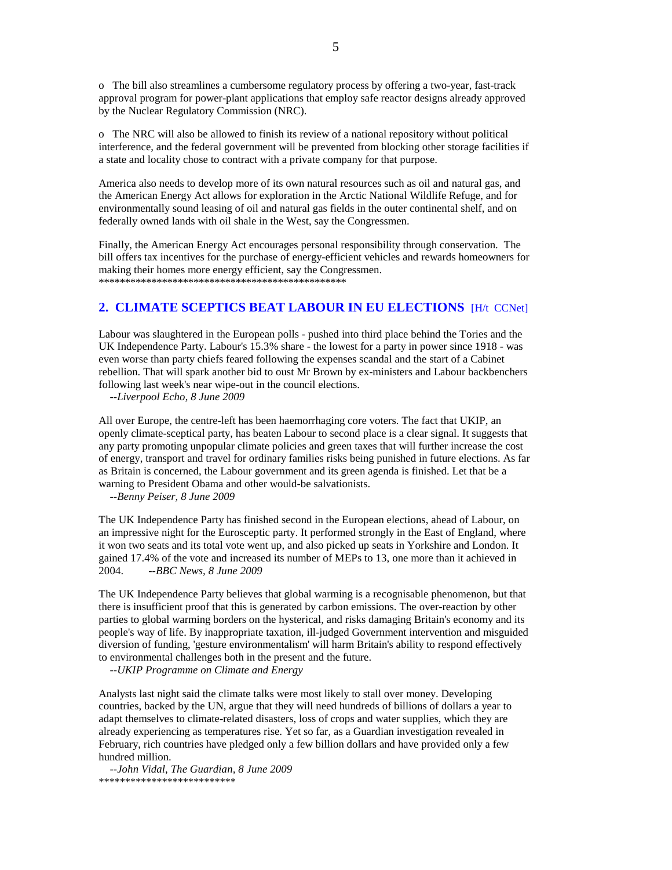o The bill also streamlines a cumbersome regulatory process by offering a two-year, fast-track approval program for power-plant applications that employ safe reactor designs already approved by the Nuclear Regulatory Commission (NRC).

o The NRC will also be allowed to finish its review of a national repository without political interference, and the federal government will be prevented from blocking other storage facilities if a state and locality chose to contract with a private company for that purpose.

America also needs to develop more of its own natural resources such as oil and natural gas, and the American Energy Act allows for exploration in the Arctic National Wildlife Refuge, and for environmentally sound leasing of oil and natural gas fields in the outer continental shelf, and on federally owned lands with oil shale in the West, say the Congressmen.

Finally, the American Energy Act encourages personal responsibility through conservation. The bill offers tax incentives for the purchase of energy-efficient vehicles and rewards homeowners for making their homes more energy efficient, say the Congressmen. \*\*\*\*\*\*\*\*\*\*\*\*\*\*\*\*\*\*\*\*\*\*\*\*\*\*\*\*\*\*\*\*\*\*\*\*\*\*\*\*\*\*\*\*\*\*\*

# **2. CLIMATE SCEPTICS BEAT LABOUR IN EU ELECTIONS** [H/t CCNet]

Labour was slaughtered in the European polls - pushed into third place behind the Tories and the UK Independence Party. Labour's 15.3% share - the lowest for a party in power since 1918 - was even worse than party chiefs feared following the expenses scandal and the start of a Cabinet rebellion. That will spark another bid to oust Mr Brown by ex-ministers and Labour backbenchers following last week's near wipe-out in the council elections.

 *--Liverpool Echo, 8 June 2009* 

All over Europe, the centre-left has been haemorrhaging core voters. The fact that UKIP, an openly climate-sceptical party, has beaten Labour to second place is a clear signal. It suggests that any party promoting unpopular climate policies and green taxes that will further increase the cost of energy, transport and travel for ordinary families risks being punished in future elections. As far as Britain is concerned, the Labour government and its green agenda is finished. Let that be a warning to President Obama and other would-be salvationists.

 *--Benny Peiser, 8 June 2009* 

The UK Independence Party has finished second in the European elections, ahead of Labour, on an impressive night for the Eurosceptic party. It performed strongly in the East of England, where it won two seats and its total vote went up, and also picked up seats in Yorkshire and London. It gained 17.4% of the vote and increased its number of MEPs to 13, one more than it achieved in 2004. *--BBC News, 8 June 2009* 

The UK Independence Party believes that global warming is a recognisable phenomenon, but that there is insufficient proof that this is generated by carbon emissions. The over-reaction by other parties to global warming borders on the hysterical, and risks damaging Britain's economy and its people's way of life. By inappropriate taxation, ill-judged Government intervention and misguided diversion of funding, 'gesture environmentalism' will harm Britain's ability to respond effectively to environmental challenges both in the present and the future.

 *--UKIP Programme on Climate and Energy* 

Analysts last night said the climate talks were most likely to stall over money. Developing countries, backed by the UN, argue that they will need hundreds of billions of dollars a year to adapt themselves to climate-related disasters, loss of crops and water supplies, which they are already experiencing as temperatures rise. Yet so far, as a Guardian investigation revealed in February, rich countries have pledged only a few billion dollars and have provided only a few hundred million.

 *--John Vidal, The Guardian, 8 June 2009*  \*\*\*\*\*\*\*\*\*\*\*\*\*\*\*\*\*\*\*\*\*\*\*\*\*\*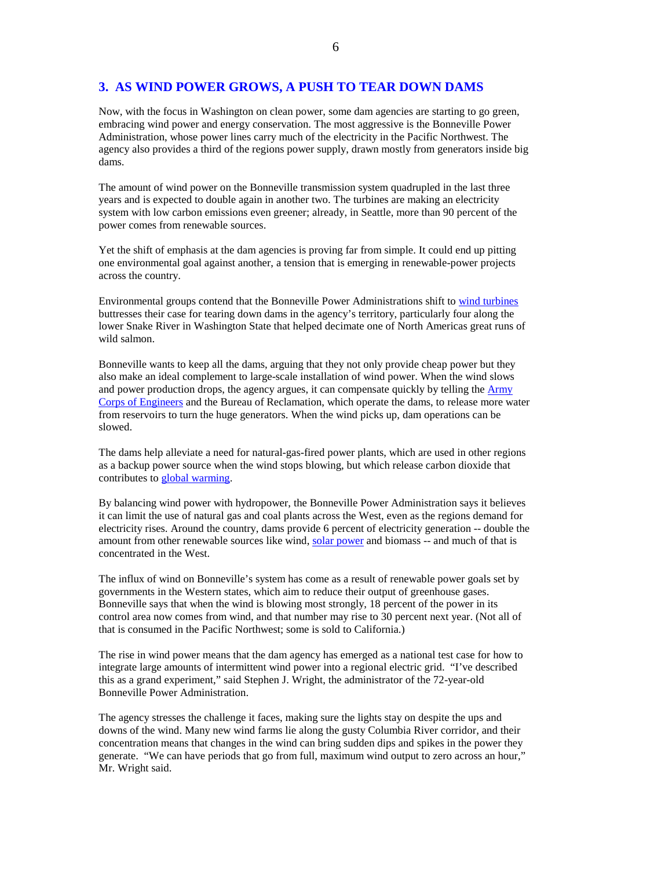## **3. AS WIND POWER GROWS, A PUSH TO TEAR DOWN DAMS**

Now, with the focus in Washington on clean power, some dam agencies are starting to go green, embracing wind power and energy conservation. The most aggressive is the Bonneville Power Administration, whose power lines carry much of the electricity in the Pacific Northwest. The agency also provides a third of the regions power supply, drawn mostly from generators inside big dams.

The amount of wind power on the Bonneville transmission system quadrupled in the last three years and is expected to double again in another two. The turbines are making an electricity system with low carbon emissions even greener; already, in Seattle, more than 90 percent of the power comes from renewable sources.

Yet the shift of emphasis at the dam agencies is proving far from simple. It could end up pitting one environmental goal against another, a tension that is emerging in renewable-power projects across the country.

Environmental groups contend that the Bonneville Power Administrations shift to wind turbines buttresses their case for tearing down dams in the agency's territory, particularly four along the lower Snake River in Washington State that helped decimate one of North Americas great runs of wild salmon.

Bonneville wants to keep all the dams, arguing that they not only provide cheap power but they also make an ideal complement to large-scale installation of wind power. When the wind slows and power production drops, the agency argues, it can compensate quickly by telling the Army Corps of Engineers and the Bureau of Reclamation, which operate the dams, to release more water from reservoirs to turn the huge generators. When the wind picks up, dam operations can be slowed.

The dams help alleviate a need for natural-gas-fired power plants, which are used in other regions as a backup power source when the wind stops blowing, but which release carbon dioxide that contributes to global warming.

By balancing wind power with hydropower, the Bonneville Power Administration says it believes it can limit the use of natural gas and coal plants across the West, even as the regions demand for electricity rises. Around the country, dams provide 6 percent of electricity generation -- double the amount from other renewable sources like wind, solar power and biomass -- and much of that is concentrated in the West.

The influx of wind on Bonneville's system has come as a result of renewable power goals set by governments in the Western states, which aim to reduce their output of greenhouse gases. Bonneville says that when the wind is blowing most strongly, 18 percent of the power in its control area now comes from wind, and that number may rise to 30 percent next year. (Not all of that is consumed in the Pacific Northwest; some is sold to California.)

The rise in wind power means that the dam agency has emerged as a national test case for how to integrate large amounts of intermittent wind power into a regional electric grid. "I've described this as a grand experiment," said Stephen J. Wright, the administrator of the 72-year-old Bonneville Power Administration.

The agency stresses the challenge it faces, making sure the lights stay on despite the ups and downs of the wind. Many new wind farms lie along the gusty Columbia River corridor, and their concentration means that changes in the wind can bring sudden dips and spikes in the power they generate. "We can have periods that go from full, maximum wind output to zero across an hour," Mr. Wright said.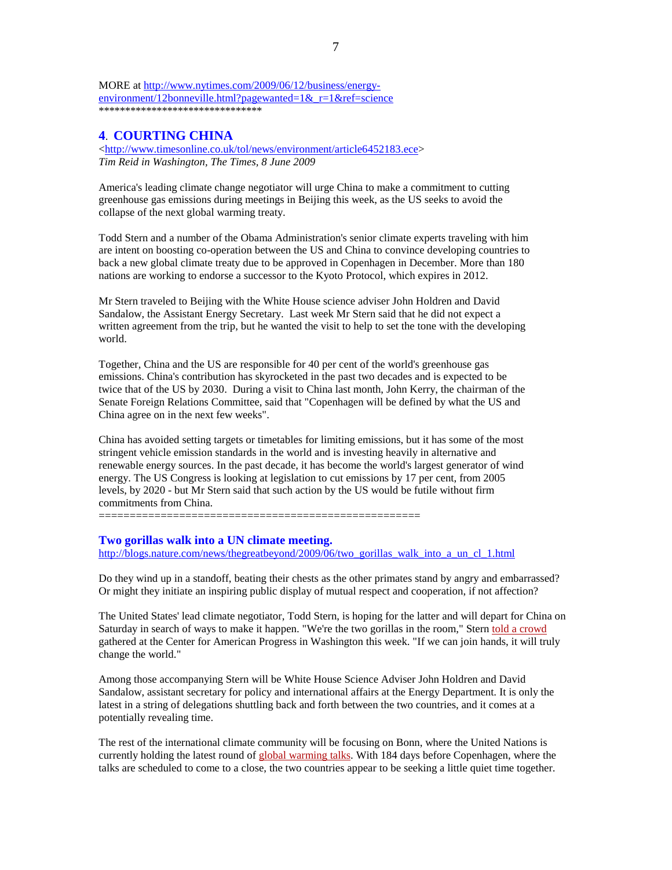MORE at http://www.nytimes.com/2009/06/12/business/energyenvironment/12bonneville.html?pagewanted=1& $r=1$ &ref=science \*\*\*\*\*\*\*\*\*\*\*\*\*\*\*\*\*\*\*\*\*\*\*\*\*\*\*\*\*\*\*

## **4**. **COURTING CHINA**

<http://www.timesonline.co.uk/tol/news/environment/article6452183.ece> *Tim Reid in Washington, The Times, 8 June 2009* 

America's leading climate change negotiator will urge China to make a commitment to cutting greenhouse gas emissions during meetings in Beijing this week, as the US seeks to avoid the collapse of the next global warming treaty.

Todd Stern and a number of the Obama Administration's senior climate experts traveling with him are intent on boosting co-operation between the US and China to convince developing countries to back a new global climate treaty due to be approved in Copenhagen in December. More than 180 nations are working to endorse a successor to the Kyoto Protocol, which expires in 2012.

Mr Stern traveled to Beijing with the White House science adviser John Holdren and David Sandalow, the Assistant Energy Secretary. Last week Mr Stern said that he did not expect a written agreement from the trip, but he wanted the visit to help to set the tone with the developing world.

Together, China and the US are responsible for 40 per cent of the world's greenhouse gas emissions. China's contribution has skyrocketed in the past two decades and is expected to be twice that of the US by 2030. During a visit to China last month, John Kerry, the chairman of the Senate Foreign Relations Committee, said that "Copenhagen will be defined by what the US and China agree on in the next few weeks".

China has avoided setting targets or timetables for limiting emissions, but it has some of the most stringent vehicle emission standards in the world and is investing heavily in alternative and renewable energy sources. In the past decade, it has become the world's largest generator of wind energy. The US Congress is looking at legislation to cut emissions by 17 per cent, from 2005 levels, by 2020 - but Mr Stern said that such action by the US would be futile without firm commitments from China.

====================================================

### **Two gorillas walk into a UN climate meeting.**

http://blogs.nature.com/news/thegreatbeyond/2009/06/two\_gorillas\_walk\_into\_a\_un\_cl\_1.html

Do they wind up in a standoff, beating their chests as the other primates stand by angry and embarrassed? Or might they initiate an inspiring public display of mutual respect and cooperation, if not affection?

The United States' lead climate negotiator, Todd Stern, is hoping for the latter and will depart for China on Saturday in search of ways to make it happen. "We're the two gorillas in the room," Stern told a crowd gathered at the Center for American Progress in Washington this week. "If we can join hands, it will truly change the world."

Among those accompanying Stern will be White House Science Adviser John Holdren and David Sandalow, assistant secretary for policy and international affairs at the Energy Department. It is only the latest in a string of delegations shuttling back and forth between the two countries, and it comes at a potentially revealing time.

The rest of the international climate community will be focusing on Bonn, where the United Nations is currently holding the latest round of global warming talks. With 184 days before Copenhagen, where the talks are scheduled to come to a close, the two countries appear to be seeking a little quiet time together.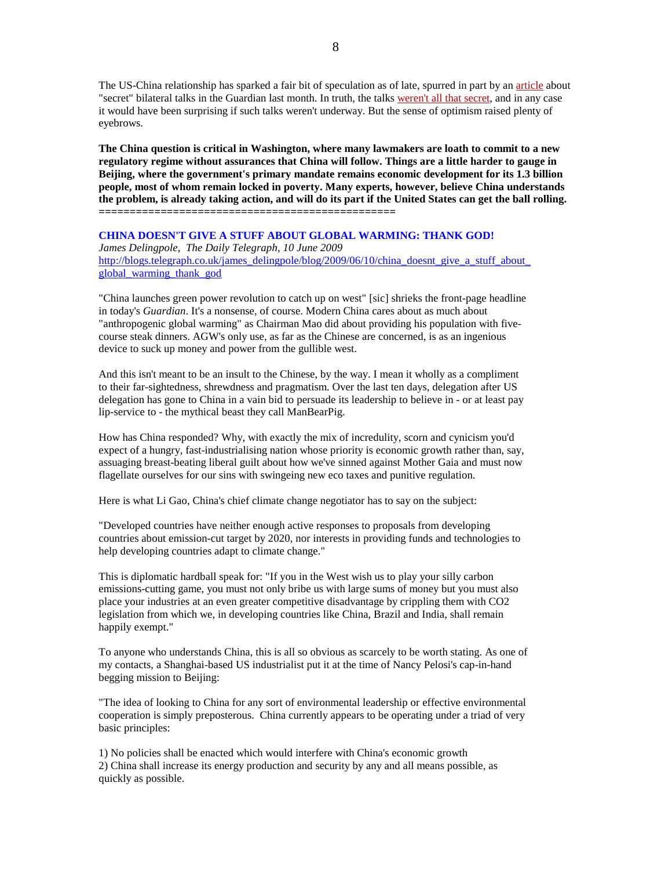The US-China relationship has sparked a fair bit of speculation as of late, spurred in part by an article about "secret" bilateral talks in the Guardian last month. In truth, the talks weren't all that secret, and in any case it would have been surprising if such talks weren't underway. But the sense of optimism raised plenty of eyebrows.

**The China question is critical in Washington, where many lawmakers are loath to commit to a new regulatory regime without assurances that China will follow. Things are a little harder to gauge in Beijing, where the government's primary mandate remains economic development for its 1.3 billion people, most of whom remain locked in poverty. Many experts, however, believe China understands the problem, is already taking action, and will do its part if the United States can get the ball rolling. ================================================** 

### **CHINA DOESN'T GIVE A STUFF ABOUT GLOBAL WARMING: THANK GOD!**

*James Delingpole, The Daily Telegraph, 10 June 2009*  http://blogs.telegraph.co.uk/james\_delingpole/blog/2009/06/10/china\_doesnt\_give\_a\_stuff\_about\_ global\_warming\_thank\_god

"China launches green power revolution to catch up on west" [sic] shrieks the front-page headline in today's *Guardian*. It's a nonsense, of course. Modern China cares about as much about "anthropogenic global warming" as Chairman Mao did about providing his population with fivecourse steak dinners. AGW's only use, as far as the Chinese are concerned, is as an ingenious device to suck up money and power from the gullible west.

And this isn't meant to be an insult to the Chinese, by the way. I mean it wholly as a compliment to their far-sightedness, shrewdness and pragmatism. Over the last ten days, delegation after US delegation has gone to China in a vain bid to persuade its leadership to believe in - or at least pay lip-service to - the mythical beast they call ManBearPig.

How has China responded? Why, with exactly the mix of incredulity, scorn and cynicism you'd expect of a hungry, fast-industrialising nation whose priority is economic growth rather than, say, assuaging breast-beating liberal guilt about how we've sinned against Mother Gaia and must now flagellate ourselves for our sins with swingeing new eco taxes and punitive regulation.

Here is what Li Gao, China's chief climate change negotiator has to say on the subject:

"Developed countries have neither enough active responses to proposals from developing countries about emission-cut target by 2020, nor interests in providing funds and technologies to help developing countries adapt to climate change."

This is diplomatic hardball speak for: "If you in the West wish us to play your silly carbon emissions-cutting game, you must not only bribe us with large sums of money but you must also place your industries at an even greater competitive disadvantage by crippling them with CO2 legislation from which we, in developing countries like China, Brazil and India, shall remain happily exempt."

To anyone who understands China, this is all so obvious as scarcely to be worth stating. As one of my contacts, a Shanghai-based US industrialist put it at the time of Nancy Pelosi's cap-in-hand begging mission to Beijing:

"The idea of looking to China for any sort of environmental leadership or effective environmental cooperation is simply preposterous. China currently appears to be operating under a triad of very basic principles:

1) No policies shall be enacted which would interfere with China's economic growth 2) China shall increase its energy production and security by any and all means possible, as quickly as possible.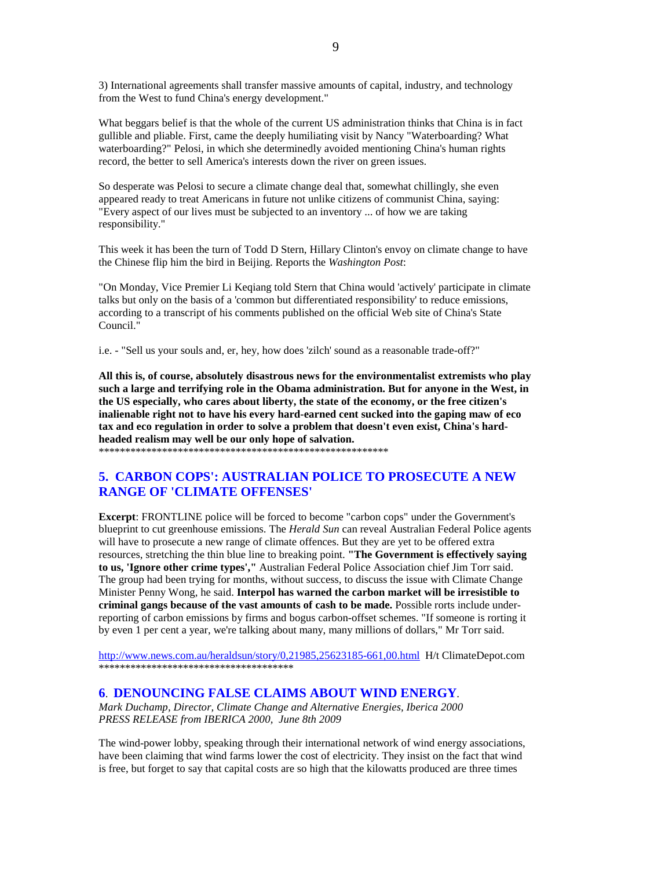3) International agreements shall transfer massive amounts of capital, industry, and technology from the West to fund China's energy development."

What beggars belief is that the whole of the current US administration thinks that China is in fact gullible and pliable. First, came the deeply humiliating visit by Nancy "Waterboarding? What waterboarding?" Pelosi, in which she determinedly avoided mentioning China's human rights record, the better to sell America's interests down the river on green issues.

So desperate was Pelosi to secure a climate change deal that, somewhat chillingly, she even appeared ready to treat Americans in future not unlike citizens of communist China, saying: "Every aspect of our lives must be subjected to an inventory ... of how we are taking responsibility."

This week it has been the turn of Todd D Stern, Hillary Clinton's envoy on climate change to have the Chinese flip him the bird in Beijing. Reports the Washington Post:

"On Monday, Vice Premier Li Kegiang told Stern that China would 'actively' participate in climate talks but only on the basis of a 'common but differentiated responsibility' to reduce emissions, according to a transcript of his comments published on the official Web site of China's State Council."

i.e. - "Sell us your souls and, er, hey, how does 'zilch' sound as a reasonable trade-off?"

All this is, of course, absolutely disastrous news for the environmentalist extremists who play such a large and terrifying role in the Obama administration. But for anyone in the West, in the US especially, who cares about liberty, the state of the economy, or the free citizen's inalienable right not to have his every hard-earned cent sucked into the gaping maw of eco tax and eco regulation in order to solve a problem that doesn't even exist, China's hardheaded realism may well be our only hope of salvation.

# 5. CARBON COPS': AUSTRALIAN POLICE TO PROSECUTE A NEW **RANGE OF 'CLIMATE OFFENSES'**

**Excerpt:** FRONTLINE police will be forced to become "carbon cops" under the Government's blueprint to cut greenhouse emissions. The Herald Sun can reveal Australian Federal Police agents will have to prosecute a new range of climate offences. But they are yet to be offered extra resources, stretching the thin blue line to breaking point. "The Government is effectively saying to us, 'Ignore other crime types'," Australian Federal Police Association chief Jim Torr said. The group had been trying for months, without success, to discuss the issue with Climate Change Minister Penny Wong, he said. Interpol has warned the carbon market will be irresistible to criminal gangs because of the vast amounts of cash to be made. Possible rorts include underreporting of carbon emissions by firms and bogus carbon-offset schemes. "If someone is rorting it by even 1 per cent a year, we're talking about many, many millions of dollars," Mr Torr said.

http://www.news.com.au/heraldsun/story/0,21985,25623185-661,00.html H/t ClimateDepot.com 

### **6. DENOUNCING FALSE CLAIMS ABOUT WIND ENERGY.**

Mark Duchamp, Director, Climate Change and Alternative Energies, Iberica 2000 PRESS RELEASE from IBERICA 2000, June 8th 2009

The wind-power lobby, speaking through their international network of wind energy associations, have been claiming that wind farms lower the cost of electricity. They insist on the fact that wind is free, but forget to say that capital costs are so high that the kilowatts produced are three times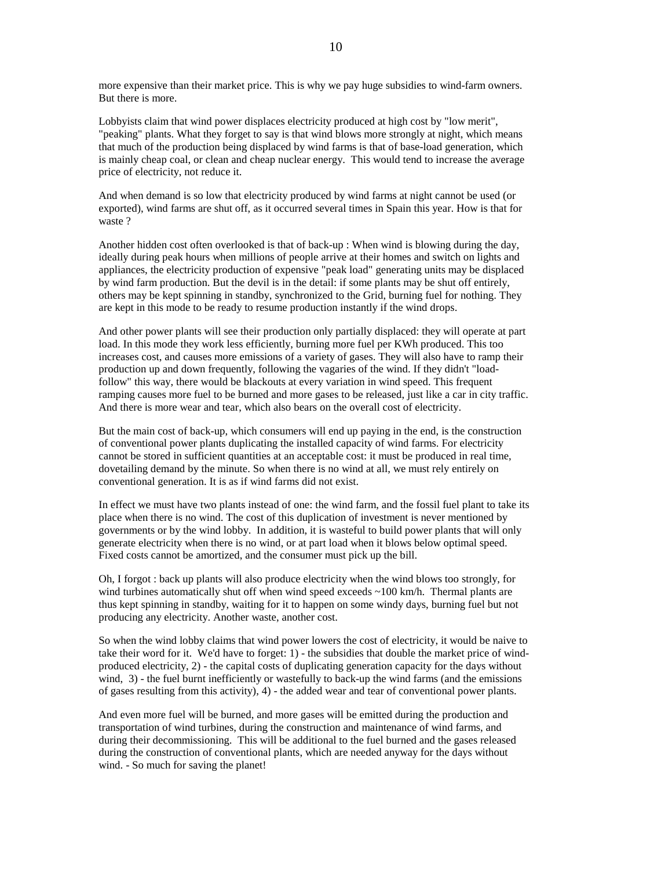more expensive than their market price. This is why we pay huge subsidies to wind-farm owners. But there is more.

Lobbyists claim that wind power displaces electricity produced at high cost by "low merit", "peaking" plants. What they forget to say is that wind blows more strongly at night, which means that much of the production being displaced by wind farms is that of base-load generation, which is mainly cheap coal, or clean and cheap nuclear energy. This would tend to increase the average price of electricity, not reduce it.

And when demand is so low that electricity produced by wind farms at night cannot be used (or exported), wind farms are shut off, as it occurred several times in Spain this year. How is that for waste ?

Another hidden cost often overlooked is that of back-up : When wind is blowing during the day, ideally during peak hours when millions of people arrive at their homes and switch on lights and appliances, the electricity production of expensive "peak load" generating units may be displaced by wind farm production. But the devil is in the detail: if some plants may be shut off entirely, others may be kept spinning in standby, synchronized to the Grid, burning fuel for nothing. They are kept in this mode to be ready to resume production instantly if the wind drops.

And other power plants will see their production only partially displaced: they will operate at part load. In this mode they work less efficiently, burning more fuel per KWh produced. This too increases cost, and causes more emissions of a variety of gases. They will also have to ramp their production up and down frequently, following the vagaries of the wind. If they didn't "loadfollow" this way, there would be blackouts at every variation in wind speed. This frequent ramping causes more fuel to be burned and more gases to be released, just like a car in city traffic. And there is more wear and tear, which also bears on the overall cost of electricity.

But the main cost of back-up, which consumers will end up paying in the end, is the construction of conventional power plants duplicating the installed capacity of wind farms. For electricity cannot be stored in sufficient quantities at an acceptable cost: it must be produced in real time, dovetailing demand by the minute. So when there is no wind at all, we must rely entirely on conventional generation. It is as if wind farms did not exist.

In effect we must have two plants instead of one: the wind farm, and the fossil fuel plant to take its place when there is no wind. The cost of this duplication of investment is never mentioned by governments or by the wind lobby. In addition, it is wasteful to build power plants that will only generate electricity when there is no wind, or at part load when it blows below optimal speed. Fixed costs cannot be amortized, and the consumer must pick up the bill.

Oh, I forgot : back up plants will also produce electricity when the wind blows too strongly, for wind turbines automatically shut off when wind speed exceeds  $\sim$ 100 km/h. Thermal plants are thus kept spinning in standby, waiting for it to happen on some windy days, burning fuel but not producing any electricity. Another waste, another cost.

So when the wind lobby claims that wind power lowers the cost of electricity, it would be naive to take their word for it. We'd have to forget: 1) - the subsidies that double the market price of windproduced electricity, 2) - the capital costs of duplicating generation capacity for the days without wind, 3) - the fuel burnt inefficiently or wastefully to back-up the wind farms (and the emissions of gases resulting from this activity), 4) - the added wear and tear of conventional power plants.

And even more fuel will be burned, and more gases will be emitted during the production and transportation of wind turbines, during the construction and maintenance of wind farms, and during their decommissioning. This will be additional to the fuel burned and the gases released during the construction of conventional plants, which are needed anyway for the days without wind. - So much for saving the planet!